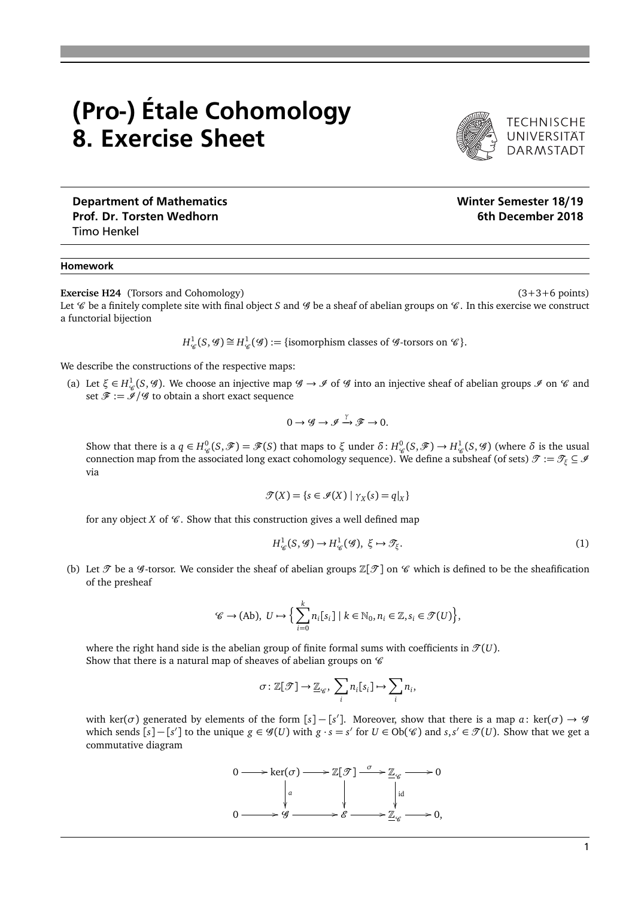## (Pro-) Étale Cohomology 8. Exercise Sheet



TECHNISCHE<br>UNIVERSITÄT **DARMSTADT** 

## Department of Mathematics Number of Mathematics Number of Mathematics Number of Semester 18/19 Prof. Dr. Torsten Wedhorn **6th December 2018** Timo Henkel

## Homework

**Exercise H24** (Torsors and Cohomology) (3+3+6 points)

Let  $\mathscr C$  be a finitely complete site with final object *S* and  $\mathscr G$  be a sheaf of abelian groups on  $\mathscr C$ . In this exercise we construct a functorial bijection

$$
H^1_{\mathscr{C}}(S, \mathscr{G}) \cong H^1_{\mathscr{C}}(\mathscr{G}) := \{ \text{isomorphism classes of } \mathscr{G} \text{-torsors on } \mathscr{C} \}.
$$

We describe the constructions of the respective maps:

(a) Let  $\xi \in H^1_{\mathscr{C}}(S, \mathscr{G})$ . We choose an injective map  $\mathscr{G} \to \mathscr{I}$  of  $\mathscr{G}$  into an injective sheaf of abelian groups  $\mathscr{I}$  on  $\mathscr{C}$  and set  $\mathscr{F} := \mathscr{I}/\mathscr{G}$  to obtain a short exact sequence

$$
0 \to \mathscr{G} \to \mathscr{I} \xrightarrow{\gamma} \mathscr{F} \to 0.
$$

Show that there is a  $q \in H^0_{\mathscr{C}}(S, \mathscr{F}) = \mathscr{F}(S)$  that maps to  $\xi$  under  $\delta: H^0_{\mathscr{C}}(S, \mathscr{F}) \to H^1_{\mathscr{C}}(S, \mathscr{G})$  (where  $\delta$  is the usual connection map from the associated long exact cohomology sequence). We define a subsheaf (of sets)  $\mathcal{T} := \mathcal{T}_{\xi} \subseteq \mathcal{I}$ via

$$
\mathcal{T}(X) = \{s \in \mathcal{I}(X) \mid \gamma_X(s) = q|_X\}
$$

for any object *X* of  $\mathcal C$ . Show that this construction gives a well defined map

$$
H^1_{\mathscr{C}}(S,\mathscr{G}) \to H^1_{\mathscr{C}}(\mathscr{G}), \ \xi \mapsto \mathscr{T}_{\xi}.\tag{1}
$$

(b) Let  $\mathcal T$  be a  $\mathcal G$ -torsor. We consider the sheaf of abelian groups  $\mathbb Z[\mathcal T]$  on  $\mathcal C$  which is defined to be the sheafification of the presheaf

$$
\mathscr{C} \to (\mathrm{Ab}), \ U \mapsto \Big\{ \sum_{i=0}^k n_i [s_i] \mid k \in \mathbb{N}_0, n_i \in \mathbb{Z}, s_i \in \mathcal{T}(U) \Big\},\
$$

where the right hand side is the abelian group of finite formal sums with coefficients in  $\mathcal{T}(U)$ . Show that there is a natural map of sheaves of abelian groups on  $\mathscr C$ 

$$
\sigma \colon \mathbb{Z}[\mathcal{T}] \to \mathbb{Z}_{\mathcal{C}}, \sum_{i} n_i[s_i] \mapsto \sum_{i} n_i,
$$

with ker( $\sigma$ ) generated by elements of the form [ $s$ ] – [ $s'$ ]. Moreover, show that there is a map  $a$ : ker( $\sigma$ )  $\to$   $\mathscr G$ which sends  $[s] - [s']$  to the unique  $g \in \mathscr{G}(U)$  with  $g \cdot s = s'$  for  $U \in Ob(\mathscr{C})$  and  $s, s' \in \mathscr{T}(U)$ . Show that we get a commutative diagram